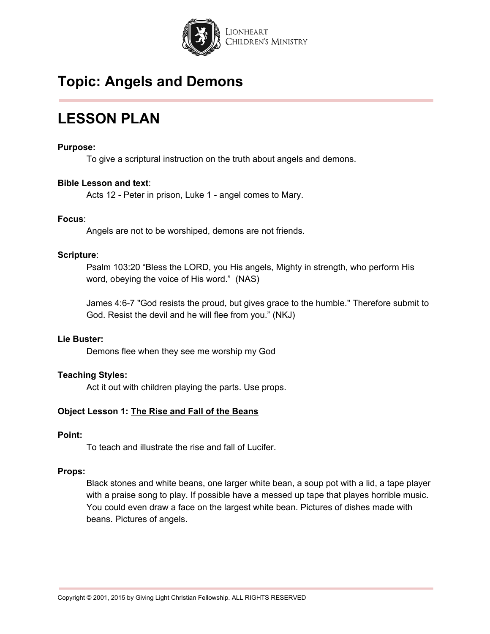

## **LESSON PLAN**

#### **Purpose:**

To give a scriptural instruction on the truth about angels and demons.

#### **Bible Lesson and text**:

Acts 12 - Peter in prison, Luke 1 - angel comes to Mary.

#### **Focus**:

Angels are not to be worshiped, demons are not friends.

#### **Scripture**:

Psalm 103:20 "Bless the LORD, you His angels, Mighty in strength, who perform His word, obeying the voice of His word." (NAS)

James 4:6-7 "God resists the proud, but gives grace to the humble." Therefore submit to God. Resist the devil and he will flee from you." (NKJ)

#### **Lie Buster:**

Demons flee when they see me worship my God

#### **Teaching Styles:**

Act it out with children playing the parts. Use props.

#### **Object Lesson 1: The Rise and Fall of the Beans**

#### **Point:**

To teach and illustrate the rise and fall of Lucifer.

#### **Props:**

Black stones and white beans, one larger white bean, a soup pot with a lid, a tape player with a praise song to play. If possible have a messed up tape that playes horrible music. You could even draw a face on the largest white bean. Pictures of dishes made with beans. Pictures of angels.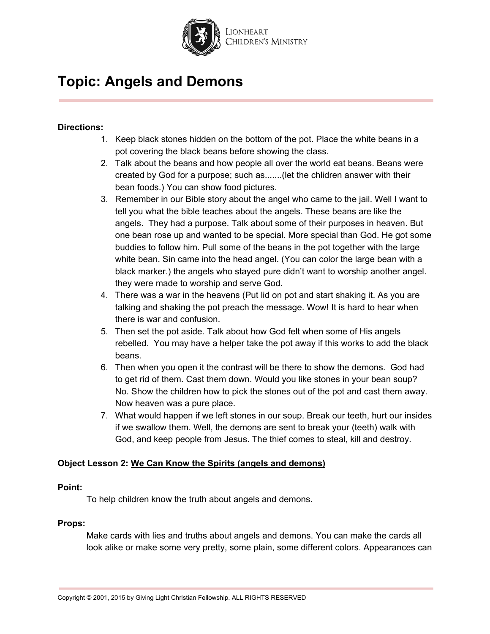

### **Directions:**

- 1. Keep black stones hidden on the bottom of the pot. Place the white beans in a pot covering the black beans before showing the class.
- 2. Talk about the beans and how people all over the world eat beans. Beans were created by God for a purpose; such as.......(let the chlidren answer with their bean foods.) You can show food pictures.
- 3. Remember in our Bible story about the angel who came to the jail. Well I want to tell you what the bible teaches about the angels. These beans are like the angels. They had a purpose. Talk about some of their purposes in heaven. But one bean rose up and wanted to be special. More special than God. He got some buddies to follow him. Pull some of the beans in the pot together with the large white bean. Sin came into the head angel. (You can color the large bean with a black marker.) the angels who stayed pure didn't want to worship another angel. they were made to worship and serve God.
- 4. There was a war in the heavens (Put lid on pot and start shaking it. As you are talking and shaking the pot preach the message. Wow! It is hard to hear when there is war and confusion.
- 5. Then set the pot aside. Talk about how God felt when some of His angels rebelled. You may have a helper take the pot away if this works to add the black beans.
- 6. Then when you open it the contrast will be there to show the demons. God had to get rid of them. Cast them down. Would you like stones in your bean soup? No. Show the children how to pick the stones out of the pot and cast them away. Now heaven was a pure place.
- 7. What would happen if we left stones in our soup. Break our teeth, hurt our insides if we swallow them. Well, the demons are sent to break your (teeth) walk with God, and keep people from Jesus. The thief comes to steal, kill and destroy.

#### **Object Lesson 2: We Can Know the Spirits (angels and demons)**

#### **Point:**

To help children know the truth about angels and demons.

#### **Props:**

Make cards with lies and truths about angels and demons. You can make the cards all look alike or make some very pretty, some plain, some different colors. Appearances can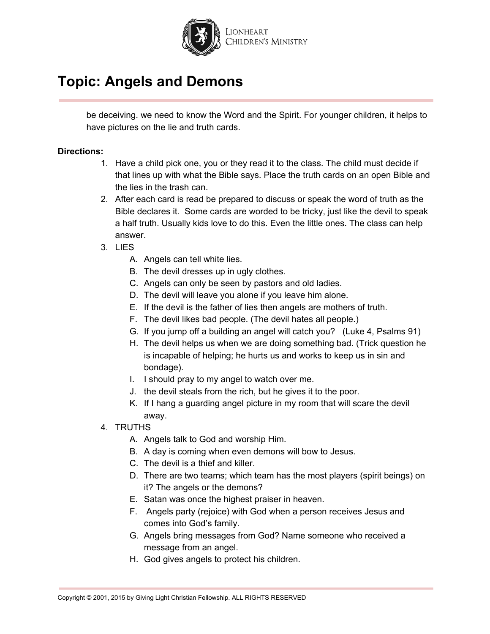

be deceiving. we need to know the Word and the Spirit. For younger children, it helps to have pictures on the lie and truth cards.

### **Directions:**

- 1. Have a child pick one, you or they read it to the class. The child must decide if that lines up with what the Bible says. Place the truth cards on an open Bible and the lies in the trash can.
- 2. After each card is read be prepared to discuss or speak the word of truth as the Bible declares it. Some cards are worded to be tricky, just like the devil to speak a half truth. Usually kids love to do this. Even the little ones. The class can help answer.
- 3. LIES
	- A. Angels can tell white lies.
	- B. The devil dresses up in ugly clothes.
	- C. Angels can only be seen by pastors and old ladies.
	- D. The devil will leave you alone if you leave him alone.
	- E. If the devil is the father of lies then angels are mothers of truth.
	- F. The devil likes bad people. (The devil hates all people.)
	- G. If you jump off a building an angel will catch you? (Luke 4, Psalms 91)
	- H. The devil helps us when we are doing something bad. (Trick question he is incapable of helping; he hurts us and works to keep us in sin and bondage).
	- I. I should pray to my angel to watch over me.
	- J. the devil steals from the rich, but he gives it to the poor.
	- K. If I hang a guarding angel picture in my room that will scare the devil away.
- 4. TRUTHS
	- A. Angels talk to God and worship Him.
	- B. A day is coming when even demons will bow to Jesus.
	- C. The devil is a thief and killer.
	- D. There are two teams; which team has the most players (spirit beings) on it? The angels or the demons?
	- E. Satan was once the highest praiser in heaven.
	- F. Angels party (rejoice) with God when a person receives Jesus and comes into God's family.
	- G. Angels bring messages from God? Name someone who received a message from an angel.
	- H. God gives angels to protect his children.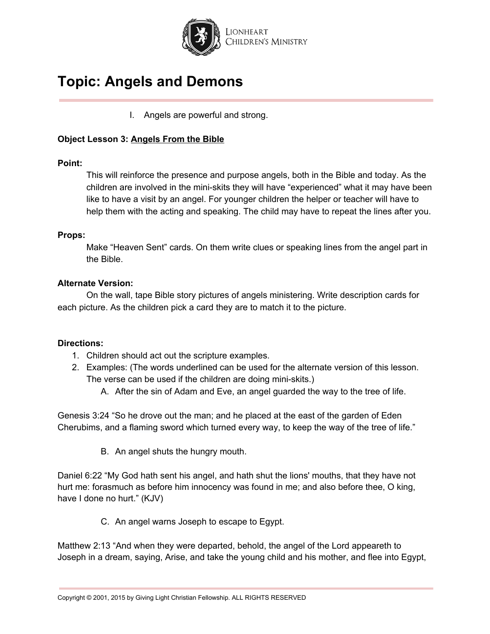

I. Angels are powerful and strong.

## **Object Lesson 3: Angels From the Bible**

### **Point:**

This will reinforce the presence and purpose angels, both in the Bible and today. As the children are involved in the mini-skits they will have "experienced" what it may have been like to have a visit by an angel. For younger children the helper or teacher will have to help them with the acting and speaking. The child may have to repeat the lines after you.

### **Props:**

Make "Heaven Sent" cards. On them write clues or speaking lines from the angel part in the Bible.

### **Alternate Version:**

On the wall, tape Bible story pictures of angels ministering. Write description cards for each picture. As the children pick a card they are to match it to the picture.

#### **Directions:**

- 1. Children should act out the scripture examples.
- 2. Examples: (The words underlined can be used for the alternate version of this lesson. The verse can be used if the children are doing mini-skits.)
	- A. After the sin of Adam and Eve, an angel guarded the way to the tree of life.

Genesis 3:24 "So he drove out the man; and he placed at the east of the garden of Eden Cherubims, and a flaming sword which turned every way, to keep the way of the tree of life."

B. An angel shuts the hungry mouth.

Daniel 6:22 "My God hath sent his angel, and hath shut the lions' mouths, that they have not hurt me: forasmuch as before him innocency was found in me; and also before thee, O king, have I done no hurt." (KJV)

C. An angel warns Joseph to escape to Egypt.

Matthew 2:13 "And when they were departed, behold, the angel of the Lord appeareth to Joseph in a dream, saying, Arise, and take the young child and his mother, and flee into Egypt,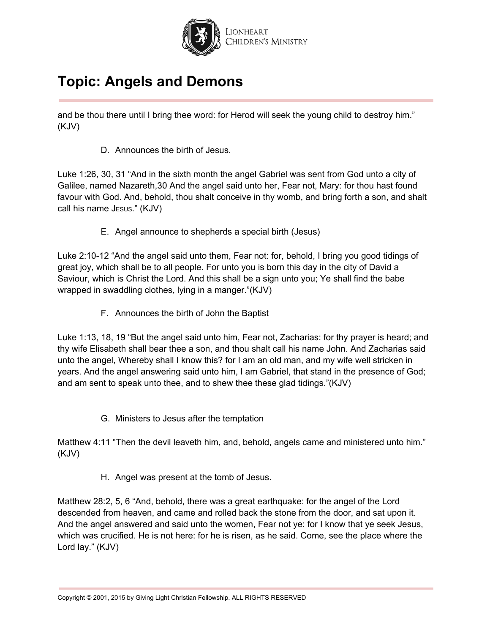

and be thou there until I bring thee word: for Herod will seek the young child to destroy him." (KJV)

D. Announces the birth of Jesus.

Luke 1:26, 30, 31 "And in the sixth month the angel Gabriel was sent from God unto a city of Galilee, named Nazareth,30 And the angel said unto her, Fear not, Mary: for thou hast found favour with God. And, behold, thou shalt conceive in thy womb, and bring forth a son, and shalt call his name JESUS." (KJV)

E. Angel announce to shepherds a special birth (Jesus)

Luke 2:10-12 "And the angel said unto them, Fear not: for, behold, I bring you good tidings of great joy, which shall be to all people. For unto you is born this day in the city of David a Saviour, which is Christ the Lord. And this shall be a sign unto you; Ye shall find the babe wrapped in swaddling clothes, lying in a manger."(KJV)

F. Announces the birth of John the Baptist

Luke 1:13, 18, 19 "But the angel said unto him, Fear not, Zacharias: for thy prayer is heard; and thy wife Elisabeth shall bear thee a son, and thou shalt call his name John. And Zacharias said unto the angel, Whereby shall I know this? for I am an old man, and my wife well stricken in years. And the angel answering said unto him, I am Gabriel, that stand in the presence of God; and am sent to speak unto thee, and to shew thee these glad tidings."(KJV)

G. Ministers to Jesus after the temptation

Matthew 4:11 "Then the devil leaveth him, and, behold, angels came and ministered unto him." (KJV)

H. Angel was present at the tomb of Jesus.

Matthew 28:2, 5, 6 "And, behold, there was a great earthquake: for the angel of the Lord descended from heaven, and came and rolled back the stone from the door, and sat upon it. And the angel answered and said unto the women, Fear not ye: for I know that ye seek Jesus, which was crucified. He is not here: for he is risen, as he said. Come, see the place where the Lord lay." (KJV)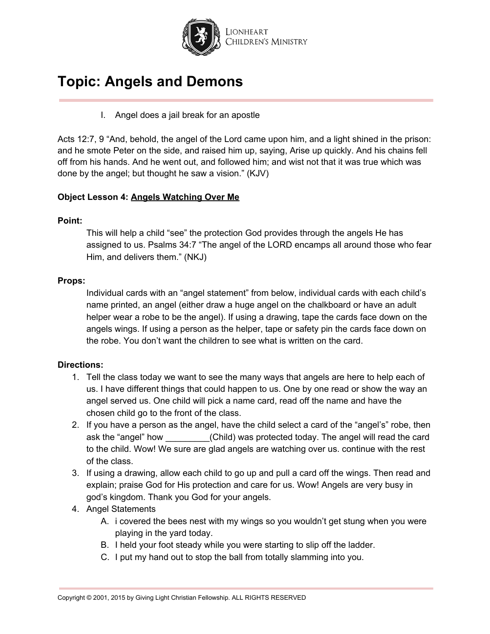

I. Angel does a jail break for an apostle

Acts 12:7, 9 "And, behold, the angel of the Lord came upon him, and a light shined in the prison: and he smote Peter on the side, and raised him up, saying, Arise up quickly. And his chains fell off from his hands. And he went out, and followed him; and wist not that it was true which was done by the angel; but thought he saw a vision." (KJV)

## **Object Lesson 4: Angels Watching Over Me**

## **Point:**

This will help a child "see" the protection God provides through the angels He has assigned to us. Psalms 34:7 "The angel of the LORD encamps all around those who fear Him, and delivers them." (NKJ)

### **Props:**

Individual cards with an "angel statement" from below, individual cards with each child's name printed, an angel (either draw a huge angel on the chalkboard or have an adult helper wear a robe to be the angel). If using a drawing, tape the cards face down on the angels wings. If using a person as the helper, tape or safety pin the cards face down on the robe. You don't want the children to see what is written on the card.

## **Directions:**

- 1. Tell the class today we want to see the many ways that angels are here to help each of us. I have different things that could happen to us. One by one read or show the way an angel served us. One child will pick a name card, read off the name and have the chosen child go to the front of the class.
- 2. If you have a person as the angel, have the child select a card of the "angel's" robe, then ask the "angel" how example in (Child) was protected today. The angel will read the card to the child. Wow! We sure are glad angels are watching over us. continue with the rest of the class.
- 3. If using a drawing, allow each child to go up and pull a card off the wings. Then read and explain; praise God for His protection and care for us. Wow! Angels are very busy in god's kingdom. Thank you God for your angels.
- 4. Angel Statements
	- A. i covered the bees nest with my wings so you wouldn't get stung when you were playing in the yard today.
	- B. I held your foot steady while you were starting to slip off the ladder.
	- C. I put my hand out to stop the ball from totally slamming into you.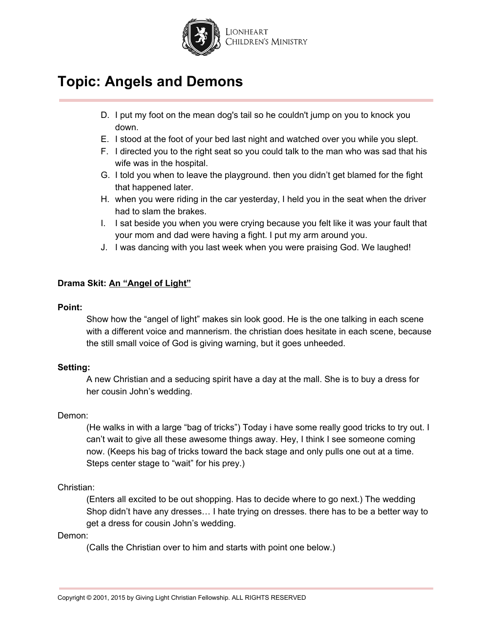

- D. I put my foot on the mean dog's tail so he couldn't jump on you to knock you down.
- E. I stood at the foot of your bed last night and watched over you while you slept.
- F. I directed you to the right seat so you could talk to the man who was sad that his wife was in the hospital.
- G. I told you when to leave the playground. then you didn't get blamed for the fight that happened later.
- H. when you were riding in the car yesterday, I held you in the seat when the driver had to slam the brakes.
- I. I sat beside you when you were crying because you felt like it was your fault that your mom and dad were having a fight. I put my arm around you.
- J. I was dancing with you last week when you were praising God. We laughed!

## **Drama Skit: An "Angel of Light"**

### **Point:**

Show how the "angel of light" makes sin look good. He is the one talking in each scene with a different voice and mannerism. the christian does hesitate in each scene, because the still small voice of God is giving warning, but it goes unheeded.

## **Setting:**

A new Christian and a seducing spirit have a day at the mall. She is to buy a dress for her cousin John's wedding.

## Demon:

(He walks in with a large "bag of tricks") Today i have some really good tricks to try out. I can't wait to give all these awesome things away. Hey, I think I see someone coming now. (Keeps his bag of tricks toward the back stage and only pulls one out at a time. Steps center stage to "wait" for his prey.)

## Christian:

(Enters all excited to be out shopping. Has to decide where to go next.) The wedding Shop didn't have any dresses… I hate trying on dresses. there has to be a better way to get a dress for cousin John's wedding.

Demon:

(Calls the Christian over to him and starts with point one below.)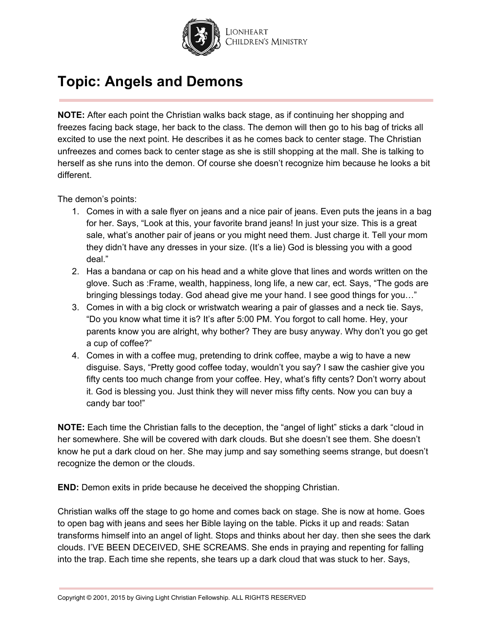

**NOTE:** After each point the Christian walks back stage, as if continuing her shopping and freezes facing back stage, her back to the class. The demon will then go to his bag of tricks all excited to use the next point. He describes it as he comes back to center stage. The Christian unfreezes and comes back to center stage as she is still shopping at the mall. She is talking to herself as she runs into the demon. Of course she doesn't recognize him because he looks a bit different.

The demon's points:

- 1. Comes in with a sale flyer on jeans and a nice pair of jeans. Even puts the jeans in a bag for her. Says, "Look at this, your favorite brand jeans! In just your size. This is a great sale, what's another pair of jeans or you might need them. Just charge it. Tell your mom they didn't have any dresses in your size. (It's a lie) God is blessing you with a good deal."
- 2. Has a bandana or cap on his head and a white glove that lines and words written on the glove. Such as :Frame, wealth, happiness, long life, a new car, ect. Says, "The gods are bringing blessings today. God ahead give me your hand. I see good things for you…"
- 3. Comes in with a big clock or wristwatch wearing a pair of glasses and a neck tie. Says, "Do you know what time it is? It's after 5:00 PM. You forgot to call home. Hey, your parents know you are alright, why bother? They are busy anyway. Why don't you go get a cup of coffee?"
- 4. Comes in with a coffee mug, pretending to drink coffee, maybe a wig to have a new disguise. Says, "Pretty good coffee today, wouldn't you say? I saw the cashier give you fifty cents too much change from your coffee. Hey, what's fifty cents? Don't worry about it. God is blessing you. Just think they will never miss fifty cents. Now you can buy a candy bar too!"

**NOTE:** Each time the Christian falls to the deception, the "angel of light" sticks a dark "cloud in her somewhere. She will be covered with dark clouds. But she doesn't see them. She doesn't know he put a dark cloud on her. She may jump and say something seems strange, but doesn't recognize the demon or the clouds.

**END:** Demon exits in pride because he deceived the shopping Christian.

Christian walks off the stage to go home and comes back on stage. She is now at home. Goes to open bag with jeans and sees her Bible laying on the table. Picks it up and reads: Satan transforms himself into an angel of light. Stops and thinks about her day. then she sees the dark clouds. I'VE BEEN DECEIVED, SHE SCREAMS. She ends in praying and repenting for falling into the trap. Each time she repents, she tears up a dark cloud that was stuck to her. Says,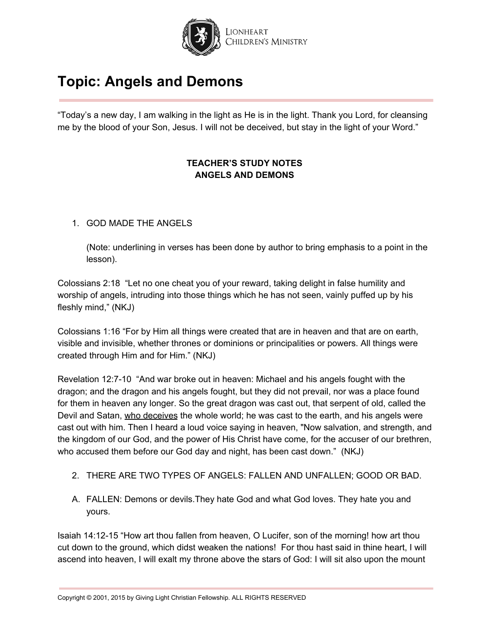

"Today's a new day, I am walking in the light as He is in the light. Thank you Lord, for cleansing me by the blood of your Son, Jesus. I will not be deceived, but stay in the light of your Word."

## **TEACHER'S STUDY NOTES ANGELS AND DEMONS**

## 1. GOD MADE THE ANGELS

(Note: underlining in verses has been done by author to bring emphasis to a point in the lesson).

Colossians 2:18 "Let no one cheat you of your reward, taking delight in false humility and worship of angels, intruding into those things which he has not seen, vainly puffed up by his fleshly mind," (NKJ)

Colossians 1:16 "For by Him all things were created that are in heaven and that are on earth, visible and invisible, whether thrones or dominions or principalities or powers. All things were created through Him and for Him." (NKJ)

Revelation 12:7-10 "And war broke out in heaven: Michael and his angels fought with the dragon; and the dragon and his angels fought, but they did not prevail, nor was a place found for them in heaven any longer. So the great dragon was cast out, that serpent of old, called the Devil and Satan, who deceives the whole world; he was cast to the earth, and his angels were cast out with him. Then I heard a loud voice saying in heaven, "Now salvation, and strength, and the kingdom of our God, and the power of His Christ have come, for the accuser of our brethren, who accused them before our God day and night, has been cast down." (NKJ)

- 2. THERE ARE TWO TYPES OF ANGELS: FALLEN AND UNFALLEN; GOOD OR BAD.
- A. FALLEN: Demons or devils.They hate God and what God loves. They hate you and yours.

Isaiah 14:12-15 "How art thou fallen from heaven, O Lucifer, son of the morning! how art thou cut down to the ground, which didst weaken the nations! For thou hast said in thine heart, I will ascend into heaven, I will exalt my throne above the stars of God: I will sit also upon the mount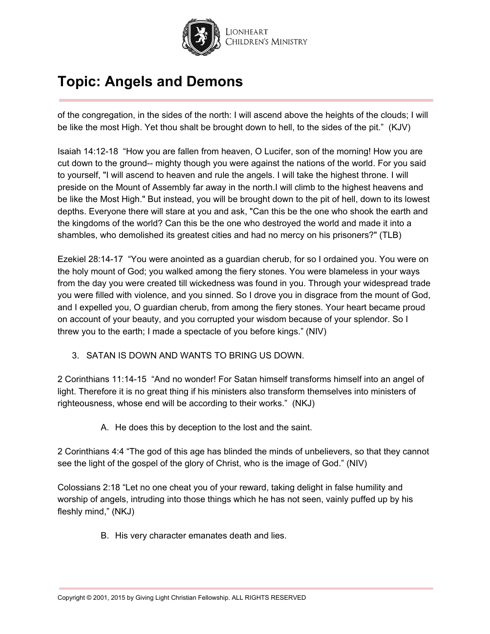

of the congregation, in the sides of the north: I will ascend above the heights of the clouds; I will be like the most High. Yet thou shalt be brought down to hell, to the sides of the pit." (KJV)

Isaiah 14:12-18 "How you are fallen from heaven, O Lucifer, son of the morning! How you are cut down to the ground-- mighty though you were against the nations of the world. For you said to yourself, "I will ascend to heaven and rule the angels. I will take the highest throne. I will preside on the Mount of Assembly far away in the north.I will climb to the highest heavens and be like the Most High." But instead, you will be brought down to the pit of hell, down to its lowest depths. Everyone there will stare at you and ask, "Can this be the one who shook the earth and the kingdoms of the world? Can this be the one who destroyed the world and made it into a shambles, who demolished its greatest cities and had no mercy on his prisoners?" (TLB)

Ezekiel 28:14-17 "You were anointed as a guardian cherub, for so I ordained you. You were on the holy mount of God; you walked among the fiery stones. You were blameless in your ways from the day you were created till wickedness was found in you. Through your widespread trade you were filled with violence, and you sinned. So I drove you in disgrace from the mount of God, and I expelled you, O guardian cherub, from among the fiery stones. Your heart became proud on account of your beauty, and you corrupted your wisdom because of your splendor. So I threw you to the earth; I made a spectacle of you before kings." (NIV)

3. SATAN IS DOWN AND WANTS TO BRING US DOWN.

2 Corinthians 11:14-15 "And no wonder! For Satan himself transforms himself into an angel of light. Therefore it is no great thing if his ministers also transform themselves into ministers of righteousness, whose end will be according to their works." (NKJ)

A. He does this by deception to the lost and the saint.

2 Corinthians 4:4 "The god of this age has blinded the minds of unbelievers, so that they cannot see the light of the gospel of the glory of Christ, who is the image of God." (NIV)

Colossians 2:18 "Let no one cheat you of your reward, taking delight in false humility and worship of angels, intruding into those things which he has not seen, vainly puffed up by his fleshly mind," (NKJ)

B. His very character emanates death and lies.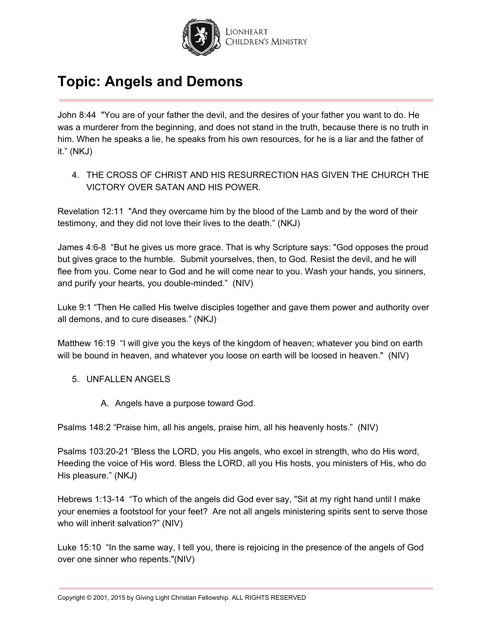

John 8:44 "You are of your father the devil, and the desires of your father you want to do. He was a murderer from the beginning, and does not stand in the truth, because there is no truth in him. When he speaks a lie, he speaks from his own resources, for he is a liar and the father of it." (NKJ)

4. THE CROSS OF CHRIST AND HIS RESURRECTION HAS GIVEN THE CHURCH THE VICTORY OVER SATAN AND HIS POWER.

Revelation 12:11 "And they overcame him by the blood of the Lamb and by the word of their testimony, and they did not love their lives to the death." (NKJ)

James 4:6-8 "But he gives us more grace. That is why Scripture says: "God opposes the proud but gives grace to the humble. Submit yourselves, then, to God. Resist the devil, and he will flee from you. Come near to God and he will come near to you. Wash your hands, you sinners, and purify your hearts, you double-minded." (NIV)

Luke 9:1 "Then He called His twelve disciples together and gave them power and authority over all demons, and to cure diseases." (NKJ)

Matthew 16:19 "I will give you the keys of the kingdom of heaven; whatever you bind on earth will be bound in heaven, and whatever you loose on earth will be loosed in heaven." (NIV)

## 5. UNFALLEN ANGELS

A. Angels have a purpose toward God.

Psalms 148:2 "Praise him, all his angels, praise him, all his heavenly hosts." (NIV)

Psalms 103:20-21 "Bless the LORD, you His angels, who excel in strength, who do His word, Heeding the voice of His word. Bless the LORD, all you His hosts, you ministers of His, who do His pleasure." (NKJ)

Hebrews 1:13-14 "To which of the angels did God ever say, "Sit at my right hand until I make your enemies a footstool for your feet? Are not all angels ministering spirits sent to serve those who will inherit salvation?" (NIV)

Luke 15:10 "In the same way, I tell you, there is rejoicing in the presence of the angels of God over one sinner who repents."(NIV)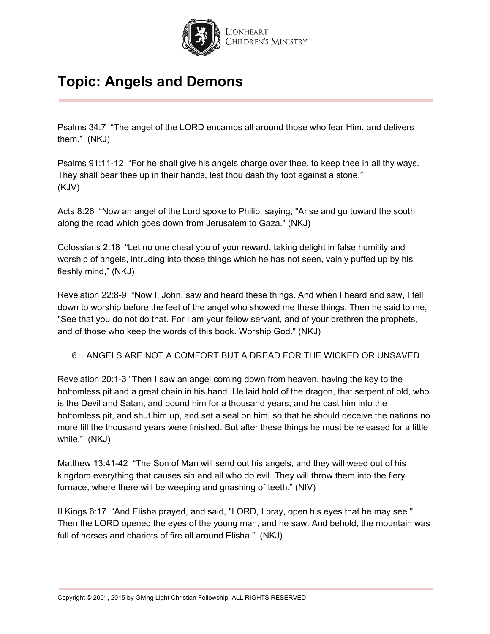

Psalms 34:7 "The angel of the LORD encamps all around those who fear Him, and delivers them." (NKJ)

Psalms 91:11-12 "For he shall give his angels charge over thee, to keep thee in all thy ways. They shall bear thee up in their hands, lest thou dash thy foot against a stone." (KJV)

Acts 8:26 "Now an angel of the Lord spoke to Philip, saying, "Arise and go toward the south along the road which goes down from Jerusalem to Gaza." (NKJ)

Colossians 2:18 "Let no one cheat you of your reward, taking delight in false humility and worship of angels, intruding into those things which he has not seen, vainly puffed up by his fleshly mind," (NKJ)

Revelation 22:8-9 "Now I, John, saw and heard these things. And when I heard and saw, I fell down to worship before the feet of the angel who showed me these things. Then he said to me, "See that you do not do that. For I am your fellow servant, and of your brethren the prophets, and of those who keep the words of this book. Worship God." (NKJ)

6. ANGELS ARE NOT A COMFORT BUT A DREAD FOR THE WICKED OR UNSAVED

Revelation 20:1-3 "Then I saw an angel coming down from heaven, having the key to the bottomless pit and a great chain in his hand. He laid hold of the dragon, that serpent of old, who is the Devil and Satan, and bound him for a thousand years; and he cast him into the bottomless pit, and shut him up, and set a seal on him, so that he should deceive the nations no more till the thousand years were finished. But after these things he must be released for a little while." (NKJ)

Matthew 13:41-42 "The Son of Man will send out his angels, and they will weed out of his kingdom everything that causes sin and all who do evil. They will throw them into the fiery furnace, where there will be weeping and gnashing of teeth." (NIV)

II Kings 6:17 "And Elisha prayed, and said, "LORD, I pray, open his eyes that he may see." Then the LORD opened the eyes of the young man, and he saw. And behold, the mountain was full of horses and chariots of fire all around Elisha." (NKJ)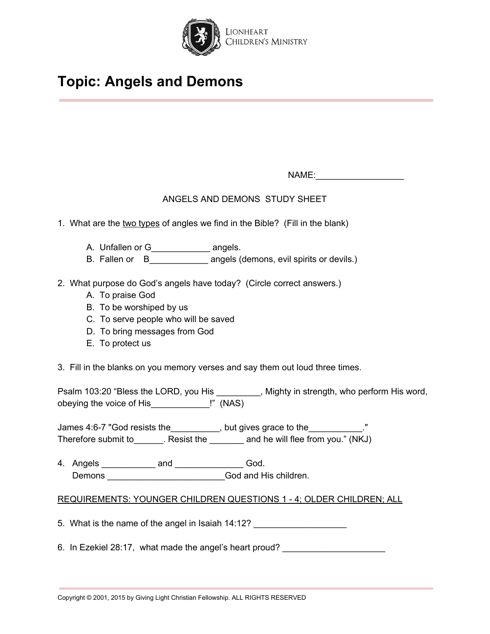

NAME:

## ANGELS AND DEMONS STUDY SHEET

- 1. What are the two types of angles we find in the Bible? (Fill in the blank)
	- A. Unfallen or G\_\_\_\_\_\_\_\_\_\_\_\_ angels.
	- B. Fallen or B angels (demons, evil spirits or devils.)
- 2. What purpose do God's angels have today? (Circle correct answers.)
	- A. To praise God
	- B. To be worshiped by us
	- C. To serve people who will be saved
	- D. To bring messages from God
	- E. To protect us

3. Fill in the blanks on you memory verses and say them out loud three times.

Psalm 103:20 "Bless the LORD, you His \_\_\_\_\_\_\_\_, Mighty in strength, who perform His word, obeying the voice of His\_\_\_\_\_\_\_\_\_\_\_\_!" (NAS)

James 4:6-7 "God resists the entity but gives grace to the Therefore submit to\_\_\_\_\_\_. Resist the \_\_\_\_\_\_\_ and he will flee from you." (NKJ)

4. Angels \_\_\_\_\_\_\_\_\_\_\_\_\_ and \_\_\_\_\_\_\_\_\_\_\_\_\_\_\_\_\_ God. Demons **Demons Demons Cod** and His children.

## REQUIREMENTS: YOUNGER CHILDREN QUESTIONS 1 - 4; OLDER CHILDREN; ALL

- 5. What is the name of the angel in Isaiah 14:12?
- 6. In Ezekiel 28:17, what made the angel's heart proud?